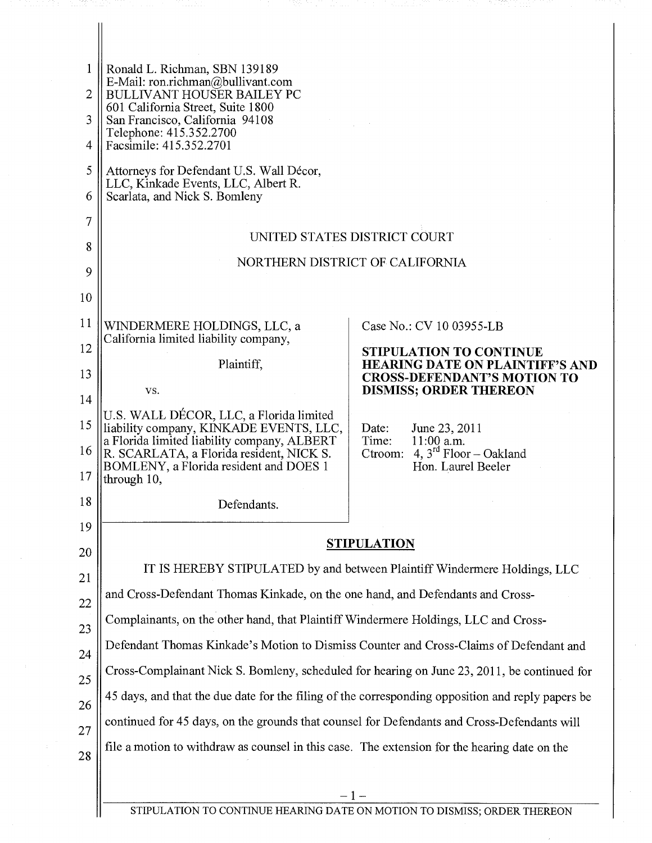| 1<br>2   | Ronald L. Richman, SBN 139189<br>E-Mail: ron.richman@bullivant.com<br><b>BULLIVANT HOUSER BAILEY PC</b><br>601 California Street, Suite 1800                                                |                                                                                                  |  |
|----------|---------------------------------------------------------------------------------------------------------------------------------------------------------------------------------------------|--------------------------------------------------------------------------------------------------|--|
| 3        | San Francisco, California 94108<br>Telephone: 415.352.2700                                                                                                                                  |                                                                                                  |  |
| 4        | Facsimile: 415.352.2701                                                                                                                                                                     |                                                                                                  |  |
| 5        | Attorneys for Defendant U.S. Wall Décor,<br>LLC, Kinkade Events, LLC, Albert R.                                                                                                             |                                                                                                  |  |
| 6        | Scarlata, and Nick S. Bomleny                                                                                                                                                               |                                                                                                  |  |
| 7        |                                                                                                                                                                                             |                                                                                                  |  |
| 8        | UNITED STATES DISTRICT COURT                                                                                                                                                                |                                                                                                  |  |
| 9        | NORTHERN DISTRICT OF CALIFORNIA                                                                                                                                                             |                                                                                                  |  |
| 10       |                                                                                                                                                                                             |                                                                                                  |  |
| 11       | WINDERMERE HOLDINGS, LLC, a                                                                                                                                                                 | Case No.: CV 10 03955-LB                                                                         |  |
| 12       | California limited liability company,                                                                                                                                                       | <b>STIPULATION TO CONTINUE</b>                                                                   |  |
| 13       | Plaintiff,                                                                                                                                                                                  | <b>HEARING DATE ON PLAINTIFF'S AND</b><br><b>CROSS-DEFENDANT'S MOTION TO</b>                     |  |
| 14       | VS.                                                                                                                                                                                         | <b>DISMISS; ORDER THEREON</b>                                                                    |  |
| 15<br>16 | U.S. WALL DÉCOR, LLC, a Florida limited<br>liability company, KINKADE EVENTS, LLC,<br>a Florida limited liability company, ALBERT<br>R. SCARLATA, a Florida resident, NICK S.               | June 23, 2011<br>Date:<br>Time:<br>$11:00$ a.m.<br>4, $3^{\text{rd}}$ Floor – Oakland<br>Ctroom: |  |
| 17       | BOMLENY, a Florida resident and DOES 1<br>through 10,                                                                                                                                       | Hon. Laurel Beeler                                                                               |  |
| 18       | Defendants.                                                                                                                                                                                 |                                                                                                  |  |
| 19       |                                                                                                                                                                                             | <b>STIPULATION</b>                                                                               |  |
| 20       |                                                                                                                                                                                             | IT IS HEREBY STIPULATED by and between Plaintiff Windermere Holdings, LLC                        |  |
| 21       |                                                                                                                                                                                             |                                                                                                  |  |
| 22       | and Cross-Defendant Thomas Kinkade, on the one hand, and Defendants and Cross-                                                                                                              |                                                                                                  |  |
| 23       | Complainants, on the other hand, that Plaintiff Windermere Holdings, LLC and Cross-                                                                                                         |                                                                                                  |  |
| 24       | Defendant Thomas Kinkade's Motion to Dismiss Counter and Cross-Claims of Defendant and                                                                                                      |                                                                                                  |  |
| 25       | Cross-Complainant Nick S. Bomleny, scheduled for hearing on June 23, 2011, be continued for                                                                                                 |                                                                                                  |  |
| 26       | 45 days, and that the due date for the filing of the corresponding opposition and reply papers be                                                                                           |                                                                                                  |  |
| 27       | continued for 45 days, on the grounds that counsel for Defendants and Cross-Defendants will<br>file a motion to withdraw as counsel in this case. The extension for the hearing date on the |                                                                                                  |  |
| 28       |                                                                                                                                                                                             |                                                                                                  |  |
|          | $-1-$                                                                                                                                                                                       |                                                                                                  |  |
|          | STIPULATION TO CONTINUE HEARING DATE ON MOTION TO DISMISS; ORDER THEREON                                                                                                                    |                                                                                                  |  |

Windermere Holdings, LLC v. U.S. Wall decor, LLC v. U.S. States, Lecture Holdings, LLC et al. [Doc. 68](http://docs.justia.com/cases/federal/district-courts/california/candce/4:2010cv03955/231547/68/)8, Nap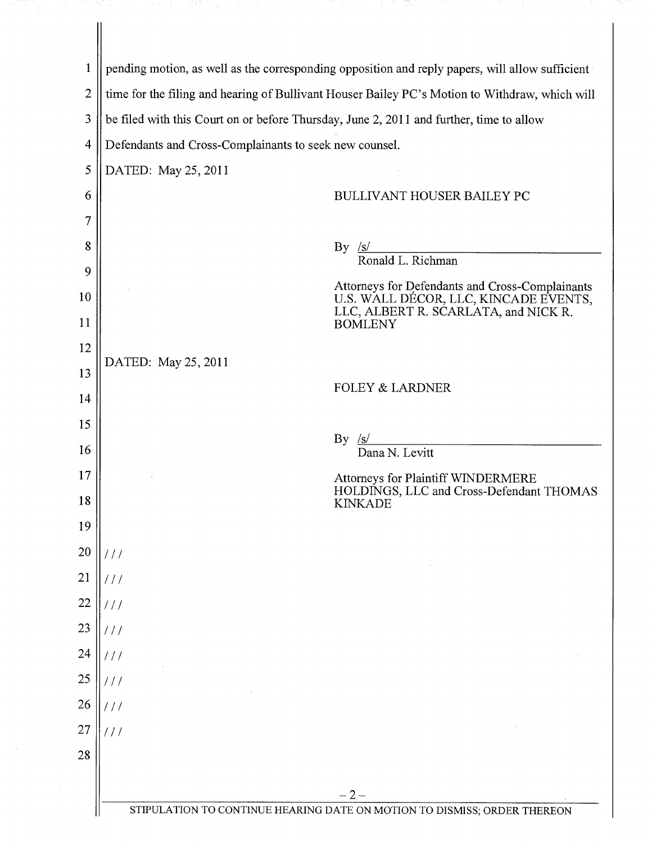| $\mathbf{1}$   | pending motion, as well as the corresponding opposition and reply papers, will allow sufficient |                                                                                                                                                    |
|----------------|-------------------------------------------------------------------------------------------------|----------------------------------------------------------------------------------------------------------------------------------------------------|
| $\overline{2}$ | time for the filing and hearing of Bullivant Houser Bailey PC's Motion to Withdraw, which will  |                                                                                                                                                    |
| 3              | be filed with this Court on or before Thursday, June 2, 2011 and further, time to allow         |                                                                                                                                                    |
| $\overline{4}$ | Defendants and Cross-Complainants to seek new counsel.                                          |                                                                                                                                                    |
| 5              | DATED: May 25, 2011                                                                             |                                                                                                                                                    |
| 6              |                                                                                                 | <b>BULLIVANT HOUSER BAILEY PC</b>                                                                                                                  |
| 7              |                                                                                                 |                                                                                                                                                    |
| 8              | $By \simeq$                                                                                     | Ronald L. Richman                                                                                                                                  |
| 9              |                                                                                                 |                                                                                                                                                    |
| 10<br>11       |                                                                                                 | Attorneys for Defendants and Cross-Complainants<br>U.S. WALL DÉCOR, LLC, KINCADE EVENTS,<br>LLC, ALBERT R. SCARLATA, and NICK R.<br><b>BOMLENY</b> |
| 12             |                                                                                                 |                                                                                                                                                    |
| 13             | DATED: May 25, 2011                                                                             |                                                                                                                                                    |
| 14             |                                                                                                 | <b>FOLEY &amp; LARDNER</b>                                                                                                                         |
| 15             |                                                                                                 |                                                                                                                                                    |
| 16             | By                                                                                              | /S/<br>Dana N. Levitt                                                                                                                              |
| 17             |                                                                                                 | Attorneys for Plaintiff WINDERMERE                                                                                                                 |
| 18             |                                                                                                 | HOLDINGS, LLC and Cross-Defendant THOMAS<br><b>KINKADE</b>                                                                                         |
| 19             |                                                                                                 |                                                                                                                                                    |
| $20\,$         |                                                                                                 |                                                                                                                                                    |
| 21             | ///                                                                                             |                                                                                                                                                    |
| 22             | ///                                                                                             |                                                                                                                                                    |
| 23             | 111                                                                                             |                                                                                                                                                    |
| 24             | 111                                                                                             |                                                                                                                                                    |
| 25             | ///                                                                                             |                                                                                                                                                    |
| 26             | 111                                                                                             |                                                                                                                                                    |
| 27             | 111                                                                                             |                                                                                                                                                    |
| 28             |                                                                                                 |                                                                                                                                                    |
|                | – 2 –                                                                                           |                                                                                                                                                    |
|                | STIPULATION TO CONTINUE HEARING DATE ON MOTION TO DISMISS; ORDER THEREON                        |                                                                                                                                                    |

-1201